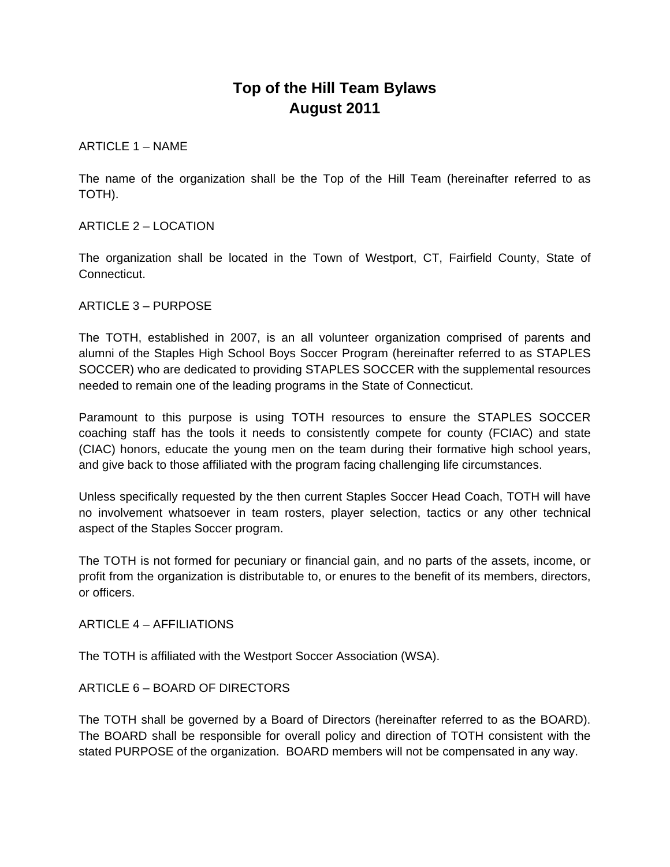# **Top of the Hill Team Bylaws August 2011**

ARTICLE 1 – NAME

The name of the organization shall be the Top of the Hill Team (hereinafter referred to as TOTH).

ARTICLE 2 – LOCATION

The organization shall be located in the Town of Westport, CT, Fairfield County, State of Connecticut.

ARTICLE 3 – PURPOSE

The TOTH, established in 2007, is an all volunteer organization comprised of parents and alumni of the Staples High School Boys Soccer Program (hereinafter referred to as STAPLES SOCCER) who are dedicated to providing STAPLES SOCCER with the supplemental resources needed to remain one of the leading programs in the State of Connecticut.

Paramount to this purpose is using TOTH resources to ensure the STAPLES SOCCER coaching staff has the tools it needs to consistently compete for county (FCIAC) and state (CIAC) honors, educate the young men on the team during their formative high school years, and give back to those affiliated with the program facing challenging life circumstances.

Unless specifically requested by the then current Staples Soccer Head Coach, TOTH will have no involvement whatsoever in team rosters, player selection, tactics or any other technical aspect of the Staples Soccer program.

The TOTH is not formed for pecuniary or financial gain, and no parts of the assets, income, or profit from the organization is distributable to, or enures to the benefit of its members, directors, or officers.

ARTICLE 4 – AFFILIATIONS

The TOTH is affiliated with the Westport Soccer Association (WSA).

ARTICLE 6 – BOARD OF DIRECTORS

The TOTH shall be governed by a Board of Directors (hereinafter referred to as the BOARD). The BOARD shall be responsible for overall policy and direction of TOTH consistent with the stated PURPOSE of the organization. BOARD members will not be compensated in any way.